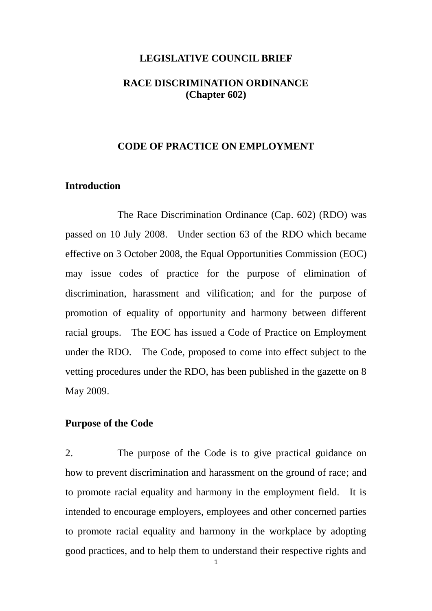### **LEGISLATIVE COUNCIL BRIEF**

# **RACE DISCRIMINATION ORDINANCE (Chapter 602)**

### **CODE OF PRACTICE ON EMPLOYMENT**

## **Introduction**

The Race Discrimination Ordinance (Cap. 602) (RDO) was passed on 10 July 2008. Under section 63 of the RDO which became effective on 3 October 2008, the Equal Opportunities Commission (EOC) may issue codes of practice for the purpose of elimination of discrimination, harassment and vilification; and for the purpose of promotion of equality of opportunity and harmony between different racial groups. The EOC has issued a Code of Practice on Employment under the RDO. The Code, proposed to come into effect subject to the vetting procedures under the RDO, has been published in the gazette on 8 May 2009.

#### **Purpose of the Code**

2. The purpose of the Code is to give practical guidance on how to prevent discrimination and harassment on the ground of race; and to promote racial equality and harmony in the employment field. It is intended to encourage employers, employees and other concerned parties to promote racial equality and harmony in the workplace by adopting good practices, and to help them to understand their respective rights and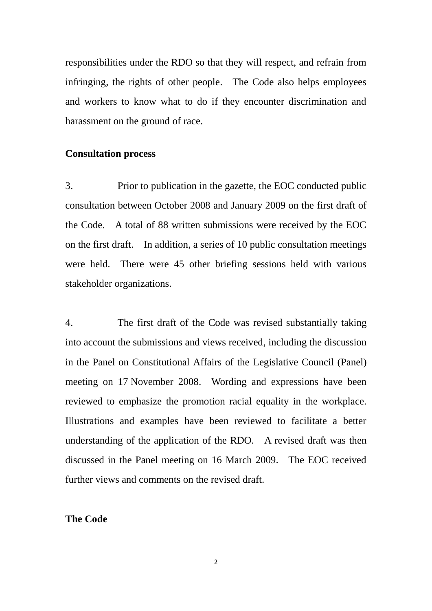responsibilities under the RDO so that they will respect, and refrain from infringing, the rights of other people. The Code also helps employees and workers to know what to do if they encounter discrimination and harassment on the ground of race.

### **Consultation process**

3. Prior to publication in the gazette, the EOC conducted public consultation between October 2008 and January 2009 on the first draft of the Code. A total of 88 written submissions were received by the EOC on the first draft. In addition, a series of 10 public consultation meetings were held. There were 45 other briefing sessions held with various stakeholder organizations.

4. The first draft of the Code was revised substantially taking into account the submissions and views received, including the discussion in the Panel on Constitutional Affairs of the Legislative Council (Panel) meeting on 17 November 2008. Wording and expressions have been reviewed to emphasize the promotion racial equality in the workplace. Illustrations and examples have been reviewed to facilitate a better understanding of the application of the RDO. A revised draft was then discussed in the Panel meeting on 16 March 2009. The EOC received further views and comments on the revised draft.

# **The Code**

2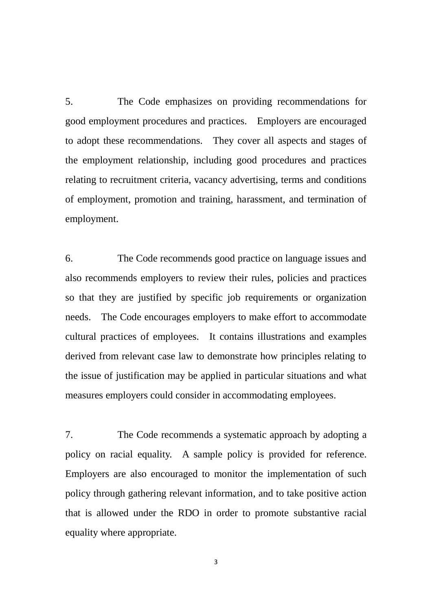5. The Code emphasizes on providing recommendations for good employment procedures and practices. Employers are encouraged to adopt these recommendations. They cover all aspects and stages of the employment relationship, including good procedures and practices relating to recruitment criteria, vacancy advertising, terms and conditions of employment, promotion and training, harassment, and termination of employment.

6. The Code recommends good practice on language issues and also recommends employers to review their rules, policies and practices so that they are justified by specific job requirements or organization needs. The Code encourages employers to make effort to accommodate cultural practices of employees. It contains illustrations and examples derived from relevant case law to demonstrate how principles relating to the issue of justification may be applied in particular situations and what measures employers could consider in accommodating employees.

7. The Code recommends a systematic approach by adopting a policy on racial equality. A sample policy is provided for reference. Employers are also encouraged to monitor the implementation of such policy through gathering relevant information, and to take positive action that is allowed under the RDO in order to promote substantive racial equality where appropriate.

3